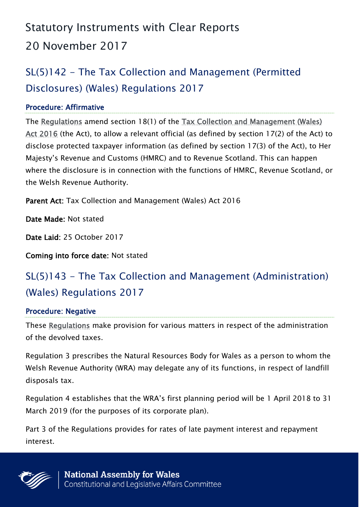# Statutory Instruments with Clear Reports 20 November 2017

## SL(5)142 - The Tax Collection and Management (Permitted Disclosures) (Wales) Regulations 2017

#### Procedure: Affirmative

The [Regulations](http://senedd.assembly.wales/mgIssueHistoryHome.aspx?IId=20275) amend section 18(1) of the [Tax Collection and Management \(Wales\)](http://www.legislation.gov.uk/anaw/2016/6/contents)  [Act 2016](http://www.legislation.gov.uk/anaw/2016/6/contents) (the Act), to allow a relevant official (as defined by section 17(2) of the Act) to disclose protected taxpayer information (as defined by section 17(3) of the Act), to Her Majesty's Revenue and Customs (HMRC) and to Revenue Scotland. This can happen where the disclosure is in connection with the functions of HMRC, Revenue Scotland, or the Welsh Revenue Authority.

Parent Act: Tax Collection and Management (Wales) Act 2016

Date Made: Not stated

Date Laid: 25 October 2017

Coming into force date: Not stated

### SL(5)143 - The Tax Collection and Management (Administration) (Wales) Regulations 2017

#### Procedure: Negative

These [Regulations](http://senedd.assembly.wales/mgIssueHistoryHome.aspx?IId=20283) make provision for various matters in respect of the administration of the devolved taxes.

Regulation 3 prescribes the Natural Resources Body for Wales as a person to whom the Welsh Revenue Authority (WRA) may delegate any of its functions, in respect of landfill disposals tax.

Regulation 4 establishes that the WRA's first planning period will be 1 April 2018 to 31 March 2019 (for the purposes of its corporate plan).

Part 3 of the Regulations provides for rates of late payment interest and repayment interest.

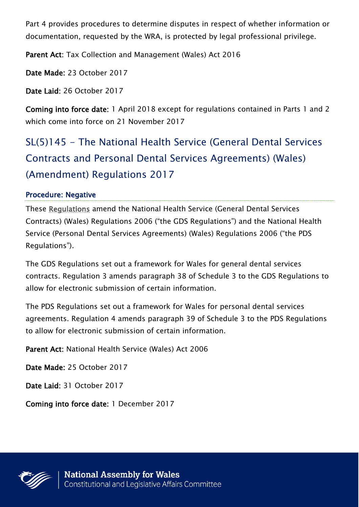Part 4 provides procedures to determine disputes in respect of whether information or documentation, requested by the WRA, is protected by legal professional privilege.

Parent Act: Tax Collection and Management (Wales) Act 2016

Date Made: 23 October 2017

Date Laid: 26 October 2017

Coming into force date: 1 April 2018 except for regulations contained in Parts 1 and 2 which come into force on 21 November 2017

SL(5)145 - The National Health Service (General Dental Services Contracts and Personal Dental Services Agreements) (Wales) (Amendment) Regulations 2017

#### Procedure: Negative

These [Regulations](http://senedd.assembly.wales/mgIssueHistoryHome.aspx?IId=20302) amend the National Health Service (General Dental Services Contracts) (Wales) Regulations 2006 ("the GDS Regulations") and the National Health Service (Personal Dental Services Agreements) (Wales) Regulations 2006 ("the PDS Regulations").

The GDS Regulations set out a framework for Wales for general dental services contracts. Regulation 3 amends paragraph 38 of Schedule 3 to the GDS Regulations to allow for electronic submission of certain information.

The PDS Regulations set out a framework for Wales for personal dental services agreements. Regulation 4 amends paragraph 39 of Schedule 3 to the PDS Regulations to allow for electronic submission of certain information.

Parent Act: National Health Service (Wales) Act 2006

Date Made: 25 October 2017

Date Laid: 31 October 2017

Coming into force date: 1 December 2017

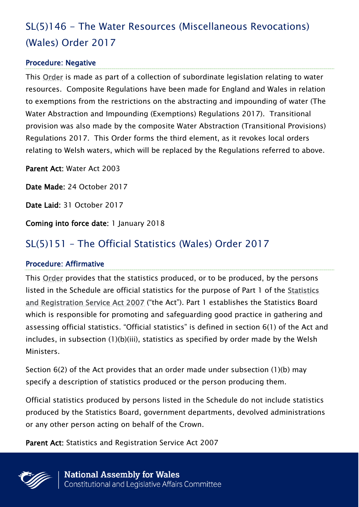## SL(5)146 - The Water Resources (Miscellaneous Revocations) (Wales) Order 2017

#### Procedure: Negative

This [Order](http://senedd.assembly.wales/mgIssueHistoryHome.aspx?IId=20304) is made as part of a collection of subordinate legislation relating to water resources. Composite Regulations have been made for England and Wales in relation to exemptions from the restrictions on the abstracting and impounding of water (The Water Abstraction and Impounding (Exemptions) Regulations 2017). Transitional provision was also made by the composite Water Abstraction (Transitional Provisions) Regulations 2017. This Order forms the third element, as it revokes local orders relating to Welsh waters, which will be replaced by the Regulations referred to above.

Parent Act: Water Act 2003

Date Made: 24 October 2017

Date Laid: 31 October 2017

Coming into force date: 1 January 2018

### SL(5)151 – The Official Statistics (Wales) Order 2017

#### Procedure: Affirmative

This [Order](http://senedd.assembly.wales/mgIssueHistoryHome.aspx?IId=20394) provides that the statistics produced, or to be produced, by the persons listed in the Schedule are official statistics for the purpose of Part 1 of the [Statistics](http://www.legislation.gov.uk/ukpga/2007/18/contents)  [and Registration Service Act 2007](http://www.legislation.gov.uk/ukpga/2007/18/contents) ("the Act"). Part 1 establishes the Statistics Board which is responsible for promoting and safeguarding good practice in gathering and assessing official statistics. "Official statistics" is defined in section 6(1) of the Act and includes, in subsection (1)(b)(iii), statistics as specified by order made by the Welsh Ministers.

Section 6(2) of the Act provides that an order made under subsection (1)(b) may specify a description of statistics produced or the person producing them.

Official statistics produced by persons listed in the Schedule do not include statistics produced by the Statistics Board, government departments, devolved administrations or any other person acting on behalf of the Crown.

Parent Act: Statistics and Registration Service Act 2007